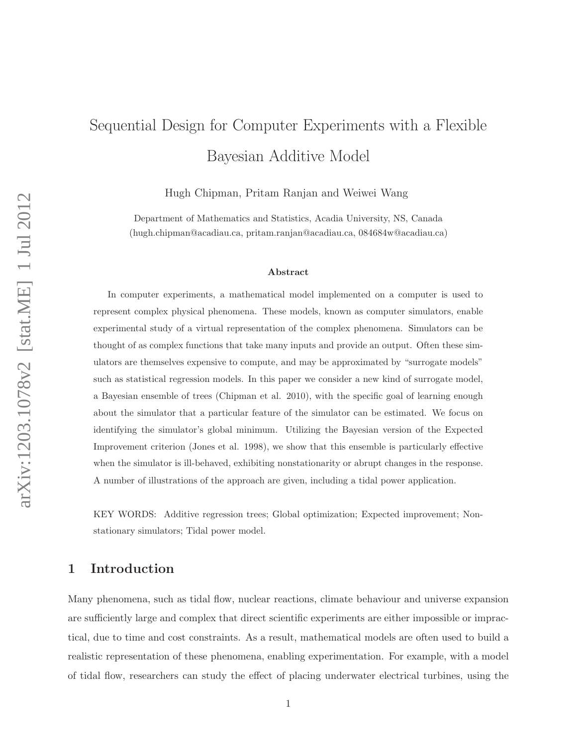# Sequential Design for Computer Experiments with a Flexible Bayesian Additive Model

Hugh Chipman, Pritam Ranjan and Weiwei Wang

Department of Mathematics and Statistics, Acadia University, NS, Canada (hugh.chipman@acadiau.ca, pritam.ranjan@acadiau.ca, 084684w@acadiau.ca)

#### Abstract

In computer experiments, a mathematical model implemented on a computer is used to represent complex physical phenomena. These models, known as computer simulators, enable experimental study of a virtual representation of the complex phenomena. Simulators can be thought of as complex functions that take many inputs and provide an output. Often these simulators are themselves expensive to compute, and may be approximated by "surrogate models" such as statistical regression models. In this paper we consider a new kind of surrogate model, a Bayesian ensemble of trees (Chipman et al. 2010), with the specific goal of learning enough about the simulator that a particular feature of the simulator can be estimated. We focus on identifying the simulator's global minimum. Utilizing the Bayesian version of the Expected Improvement criterion (Jones et al. 1998), we show that this ensemble is particularly effective when the simulator is ill-behaved, exhibiting nonstationarity or abrupt changes in the response. A number of illustrations of the approach are given, including a tidal power application.

KEY WORDS: Additive regression trees; Global optimization; Expected improvement; Nonstationary simulators; Tidal power model.

## 1 Introduction

Many phenomena, such as tidal flow, nuclear reactions, climate behaviour and universe expansion are sufficiently large and complex that direct scientific experiments are either impossible or impractical, due to time and cost constraints. As a result, mathematical models are often used to build a realistic representation of these phenomena, enabling experimentation. For example, with a model of tidal flow, researchers can study the effect of placing underwater electrical turbines, using the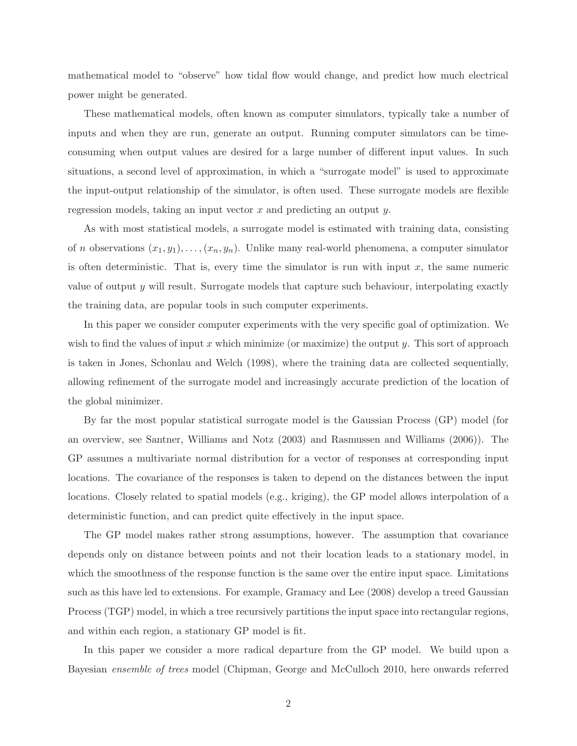mathematical model to "observe" how tidal flow would change, and predict how much electrical power might be generated.

These mathematical models, often known as computer simulators, typically take a number of inputs and when they are run, generate an output. Running computer simulators can be timeconsuming when output values are desired for a large number of different input values. In such situations, a second level of approximation, in which a "surrogate model" is used to approximate the input-output relationship of the simulator, is often used. These surrogate models are flexible regression models, taking an input vector x and predicting an output y.

As with most statistical models, a surrogate model is estimated with training data, consisting of n observations  $(x_1, y_1), \ldots, (x_n, y_n)$ . Unlike many real-world phenomena, a computer simulator is often deterministic. That is, every time the simulator is run with input  $x$ , the same numeric value of output y will result. Surrogate models that capture such behaviour, interpolating exactly the training data, are popular tools in such computer experiments.

In this paper we consider computer experiments with the very specific goal of optimization. We wish to find the values of input x which minimize (or maximize) the output y. This sort of approach is taken in Jones, Schonlau and Welch (1998), where the training data are collected sequentially, allowing refinement of the surrogate model and increasingly accurate prediction of the location of the global minimizer.

By far the most popular statistical surrogate model is the Gaussian Process (GP) model (for an overview, see Santner, Williams and Notz (2003) and Rasmussen and Williams (2006)). The GP assumes a multivariate normal distribution for a vector of responses at corresponding input locations. The covariance of the responses is taken to depend on the distances between the input locations. Closely related to spatial models (e.g., kriging), the GP model allows interpolation of a deterministic function, and can predict quite effectively in the input space.

The GP model makes rather strong assumptions, however. The assumption that covariance depends only on distance between points and not their location leads to a stationary model, in which the smoothness of the response function is the same over the entire input space. Limitations such as this have led to extensions. For example, Gramacy and Lee (2008) develop a treed Gaussian Process (TGP) model, in which a tree recursively partitions the input space into rectangular regions, and within each region, a stationary GP model is fit.

In this paper we consider a more radical departure from the GP model. We build upon a Bayesian *ensemble of trees* model (Chipman, George and McCulloch 2010, here onwards referred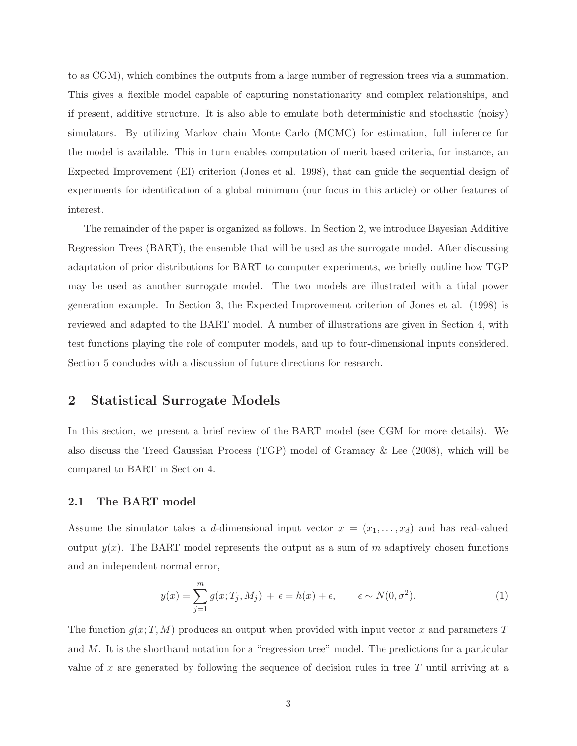to as CGM), which combines the outputs from a large number of regression trees via a summation. This gives a flexible model capable of capturing nonstationarity and complex relationships, and if present, additive structure. It is also able to emulate both deterministic and stochastic (noisy) simulators. By utilizing Markov chain Monte Carlo (MCMC) for estimation, full inference for the model is available. This in turn enables computation of merit based criteria, for instance, an Expected Improvement (EI) criterion (Jones et al. 1998), that can guide the sequential design of experiments for identification of a global minimum (our focus in this article) or other features of interest.

The remainder of the paper is organized as follows. In Section 2, we introduce Bayesian Additive Regression Trees (BART), the ensemble that will be used as the surrogate model. After discussing adaptation of prior distributions for BART to computer experiments, we briefly outline how TGP may be used as another surrogate model. The two models are illustrated with a tidal power generation example. In Section 3, the Expected Improvement criterion of Jones et al. (1998) is reviewed and adapted to the BART model. A number of illustrations are given in Section 4, with test functions playing the role of computer models, and up to four-dimensional inputs considered. Section 5 concludes with a discussion of future directions for research.

## 2 Statistical Surrogate Models

In this section, we present a brief review of the BART model (see CGM for more details). We also discuss the Treed Gaussian Process (TGP) model of Gramacy & Lee (2008), which will be compared to BART in Section 4.

## 2.1 The BART model

Assume the simulator takes a d-dimensional input vector  $x = (x_1, \ldots, x_d)$  and has real-valued output  $y(x)$ . The BART model represents the output as a sum of m adaptively chosen functions and an independent normal error,

$$
y(x) = \sum_{j=1}^{m} g(x; T_j, M_j) + \epsilon = h(x) + \epsilon, \qquad \epsilon \sim N(0, \sigma^2). \tag{1}
$$

The function  $g(x; T, M)$  produces an output when provided with input vector x and parameters T and M. It is the shorthand notation for a "regression tree" model. The predictions for a particular value of x are generated by following the sequence of decision rules in tree  $T$  until arriving at a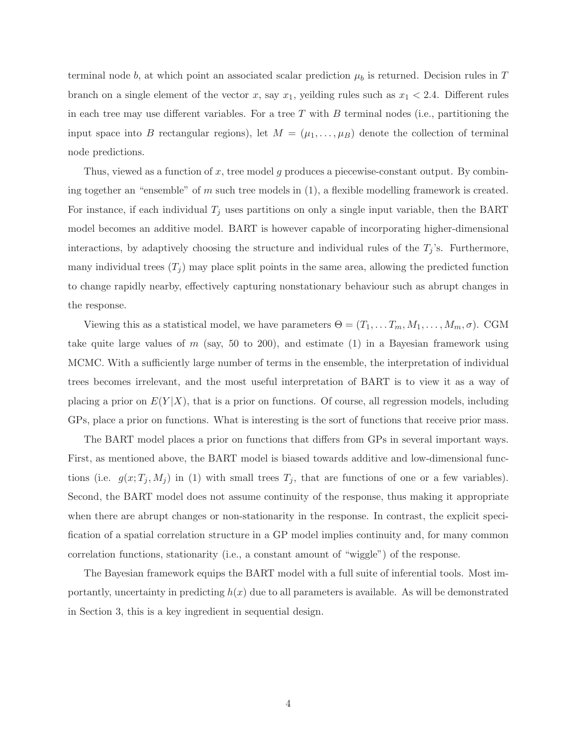terminal node b, at which point an associated scalar prediction  $\mu_b$  is returned. Decision rules in T branch on a single element of the vector x, say  $x_1$ , yeilding rules such as  $x_1 < 2.4$ . Different rules in each tree may use different variables. For a tree  $T$  with  $B$  terminal nodes (i.e., partitioning the input space into B rectangular regions), let  $M = (\mu_1, \ldots, \mu_B)$  denote the collection of terminal node predictions.

Thus, viewed as a function of x, tree model g produces a piecewise-constant output. By combining together an "ensemble" of m such tree models in  $(1)$ , a flexible modelling framework is created. For instance, if each individual  $T_j$  uses partitions on only a single input variable, then the BART model becomes an additive model. BART is however capable of incorporating higher-dimensional interactions, by adaptively choosing the structure and individual rules of the  $T_j$ 's. Furthermore, many individual trees  $(T_i)$  may place split points in the same area, allowing the predicted function to change rapidly nearby, effectively capturing nonstationary behaviour such as abrupt changes in the response.

Viewing this as a statistical model, we have parameters  $\Theta = (T_1, \ldots, T_m, M_1, \ldots, M_m, \sigma)$ . CGM take quite large values of  $m$  (say, 50 to 200), and estimate (1) in a Bayesian framework using MCMC. With a sufficiently large number of terms in the ensemble, the interpretation of individual trees becomes irrelevant, and the most useful interpretation of BART is to view it as a way of placing a prior on  $E(Y|X)$ , that is a prior on functions. Of course, all regression models, including GPs, place a prior on functions. What is interesting is the sort of functions that receive prior mass.

The BART model places a prior on functions that differs from GPs in several important ways. First, as mentioned above, the BART model is biased towards additive and low-dimensional functions (i.e.  $g(x; T_j, M_j)$  in (1) with small trees  $T_j$ , that are functions of one or a few variables). Second, the BART model does not assume continuity of the response, thus making it appropriate when there are abrupt changes or non-stationarity in the response. In contrast, the explicit specification of a spatial correlation structure in a GP model implies continuity and, for many common correlation functions, stationarity (i.e., a constant amount of "wiggle") of the response.

The Bayesian framework equips the BART model with a full suite of inferential tools. Most importantly, uncertainty in predicting  $h(x)$  due to all parameters is available. As will be demonstrated in Section 3, this is a key ingredient in sequential design.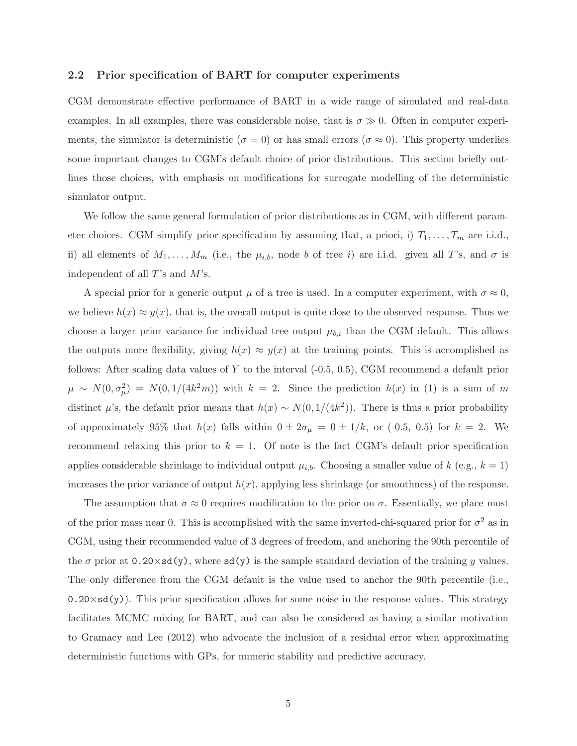#### 2.2 Prior specification of BART for computer experiments

CGM demonstrate effective performance of BART in a wide range of simulated and real-data examples. In all examples, there was considerable noise, that is  $\sigma \gg 0$ . Often in computer experiments, the simulator is deterministic ( $\sigma = 0$ ) or has small errors ( $\sigma \approx 0$ ). This property underlies some important changes to CGM's default choice of prior distributions. This section briefly outlines those choices, with emphasis on modifications for surrogate modelling of the deterministic simulator output.

We follow the same general formulation of prior distributions as in CGM, with different parameter choices. CGM simplify prior specification by assuming that, a priori, i)  $T_1, \ldots, T_m$  are i.i.d., ii) all elements of  $M_1, \ldots, M_m$  (i.e., the  $\mu_{i,b}$ , node b of tree i) are i.i.d. given all T's, and  $\sigma$  is independent of all T's and M's.

A special prior for a generic output  $\mu$  of a tree is used. In a computer experiment, with  $\sigma \approx 0$ , we believe  $h(x) \approx y(x)$ , that is, the overall output is quite close to the observed response. Thus we choose a larger prior variance for individual tree output  $\mu_{b,i}$  than the CGM default. This allows the outputs more flexibility, giving  $h(x) \approx y(x)$  at the training points. This is accomplished as follows: After scaling data values of Y to the interval  $(-0.5, 0.5)$ , CGM recommend a default prior  $\mu \sim N(0, \sigma_{\mu}^2) = N(0, 1/(4k^2m))$  with  $k = 2$ . Since the prediction  $h(x)$  in (1) is a sum of m distinct  $\mu$ 's, the default prior means that  $h(x) \sim N(0, 1/(4k^2))$ . There is thus a prior probability of approximately 95% that  $h(x)$  falls within  $0 \pm 2\sigma_{\mu} = 0 \pm 1/k$ , or (-0.5, 0.5) for  $k = 2$ . We recommend relaxing this prior to  $k = 1$ . Of note is the fact CGM's default prior specification applies considerable shrinkage to individual output  $\mu_{i,b}$ . Choosing a smaller value of k (e.g.,  $k = 1$ ) increases the prior variance of output  $h(x)$ , applying less shrinkage (or smoothness) of the response.

The assumption that  $\sigma \approx 0$  requires modification to the prior on  $\sigma$ . Essentially, we place most of the prior mass near 0. This is accomplished with the same inverted-chi-squared prior for  $\sigma^2$  as in CGM, using their recommended value of 3 degrees of freedom, and anchoring the 90th percentile of the  $\sigma$  prior at 0.20×sd(y), where sd(y) is the sample standard deviation of the training y values. The only difference from the CGM default is the value used to anchor the 90th percentile (i.e.,  $0.20 \times sd(y)$ . This prior specification allows for some noise in the response values. This strategy facilitates MCMC mixing for BART, and can also be considered as having a similar motivation to Gramacy and Lee (2012) who advocate the inclusion of a residual error when approximating deterministic functions with GPs, for numeric stability and predictive accuracy.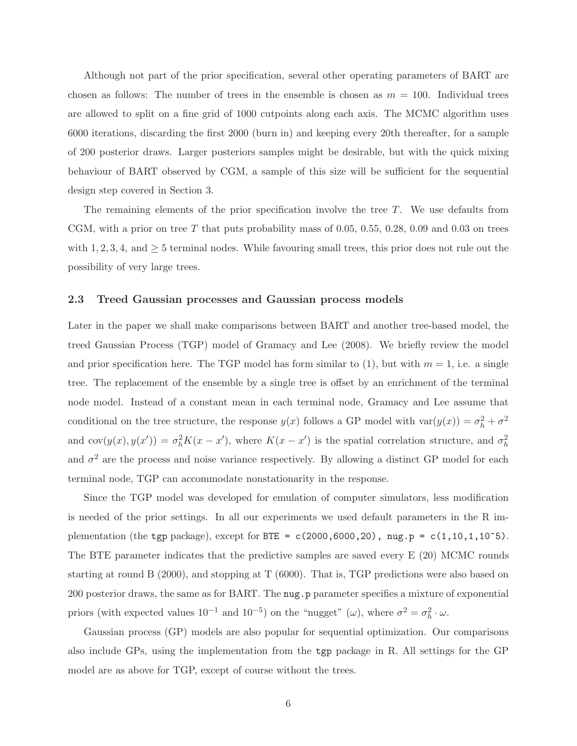Although not part of the prior specification, several other operating parameters of BART are chosen as follows: The number of trees in the ensemble is chosen as  $m = 100$ . Individual trees are allowed to split on a fine grid of 1000 cutpoints along each axis. The MCMC algorithm uses 6000 iterations, discarding the first 2000 (burn in) and keeping every 20th thereafter, for a sample of 200 posterior draws. Larger posteriors samples might be desirable, but with the quick mixing behaviour of BART observed by CGM, a sample of this size will be sufficient for the sequential design step covered in Section 3.

The remaining elements of the prior specification involve the tree  $T$ . We use defaults from CGM, with a prior on tree T that puts probability mass of 0.05, 0.55, 0.28, 0.09 and 0.03 on trees with  $1, 2, 3, 4$ , and  $\geq 5$  terminal nodes. While favouring small trees, this prior does not rule out the possibility of very large trees.

## 2.3 Treed Gaussian processes and Gaussian process models

Later in the paper we shall make comparisons between BART and another tree-based model, the treed Gaussian Process (TGP) model of Gramacy and Lee (2008). We briefly review the model and prior specification here. The TGP model has form similar to  $(1)$ , but with  $m = 1$ , i.e. a single tree. The replacement of the ensemble by a single tree is offset by an enrichment of the terminal node model. Instead of a constant mean in each terminal node, Gramacy and Lee assume that conditional on the tree structure, the response  $y(x)$  follows a GP model with  $var(y(x)) = \sigma_h^2 + \sigma^2$ and  $cov(y(x), y(x')) = \sigma_h^2 K(x - x')$ , where  $K(x - x')$  is the spatial correlation structure, and  $\sigma_h^2$ and  $\sigma^2$  are the process and noise variance respectively. By allowing a distinct GP model for each terminal node, TGP can accommodate nonstationarity in the response.

Since the TGP model was developed for emulation of computer simulators, less modification is needed of the prior settings. In all our experiments we used default parameters in the R implementation (the tgp package), except for BTE =  $c(2000, 6000, 20)$ , nug.p =  $c(1, 10, 1, 10^5)$ . The BTE parameter indicates that the predictive samples are saved every E (20) MCMC rounds starting at round B (2000), and stopping at T (6000). That is, TGP predictions were also based on 200 posterior draws, the same as for BART. The nug.p parameter specifies a mixture of exponential priors (with expected values  $10^{-1}$  and  $10^{-5}$ ) on the "nugget" ( $\omega$ ), where  $\sigma^2 = \sigma_h^2 \cdot \omega$ .

Gaussian process (GP) models are also popular for sequential optimization. Our comparisons also include GPs, using the implementation from the tgp package in R. All settings for the GP model are as above for TGP, except of course without the trees.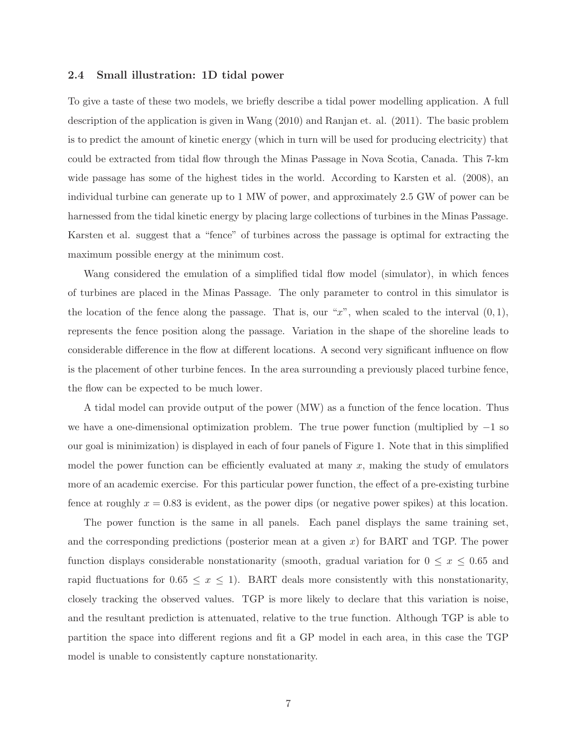## 2.4 Small illustration: 1D tidal power

To give a taste of these two models, we briefly describe a tidal power modelling application. A full description of the application is given in Wang (2010) and Ranjan et. al. (2011). The basic problem is to predict the amount of kinetic energy (which in turn will be used for producing electricity) that could be extracted from tidal flow through the Minas Passage in Nova Scotia, Canada. This 7-km wide passage has some of the highest tides in the world. According to Karsten et al. (2008), an individual turbine can generate up to 1 MW of power, and approximately 2.5 GW of power can be harnessed from the tidal kinetic energy by placing large collections of turbines in the Minas Passage. Karsten et al. suggest that a "fence" of turbines across the passage is optimal for extracting the maximum possible energy at the minimum cost.

Wang considered the emulation of a simplified tidal flow model (simulator), in which fences of turbines are placed in the Minas Passage. The only parameter to control in this simulator is the location of the fence along the passage. That is, our "x", when scaled to the interval  $(0, 1)$ , represents the fence position along the passage. Variation in the shape of the shoreline leads to considerable difference in the flow at different locations. A second very significant influence on flow is the placement of other turbine fences. In the area surrounding a previously placed turbine fence, the flow can be expected to be much lower.

A tidal model can provide output of the power (MW) as a function of the fence location. Thus we have a one-dimensional optimization problem. The true power function (multiplied by −1 so our goal is minimization) is displayed in each of four panels of Figure 1. Note that in this simplified model the power function can be efficiently evaluated at many  $x$ , making the study of emulators more of an academic exercise. For this particular power function, the effect of a pre-existing turbine fence at roughly  $x = 0.83$  is evident, as the power dips (or negative power spikes) at this location.

The power function is the same in all panels. Each panel displays the same training set, and the corresponding predictions (posterior mean at a given  $x$ ) for BART and TGP. The power function displays considerable nonstationarity (smooth, gradual variation for  $0 \le x \le 0.65$  and rapid fluctuations for  $0.65 \leq x \leq 1$ . BART deals more consistently with this nonstationarity, closely tracking the observed values. TGP is more likely to declare that this variation is noise, and the resultant prediction is attenuated, relative to the true function. Although TGP is able to partition the space into different regions and fit a GP model in each area, in this case the TGP model is unable to consistently capture nonstationarity.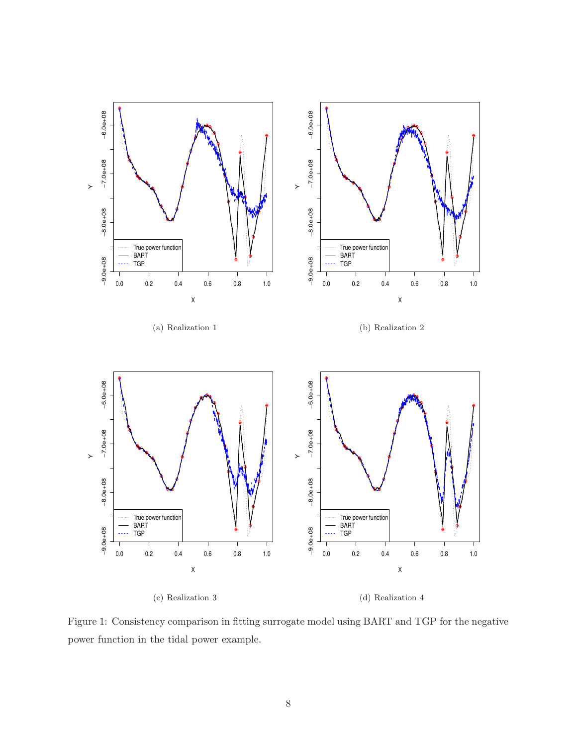

Figure 1: Consistency comparison in fitting surrogate model using BART and TGP for the negative power function in the tidal power example.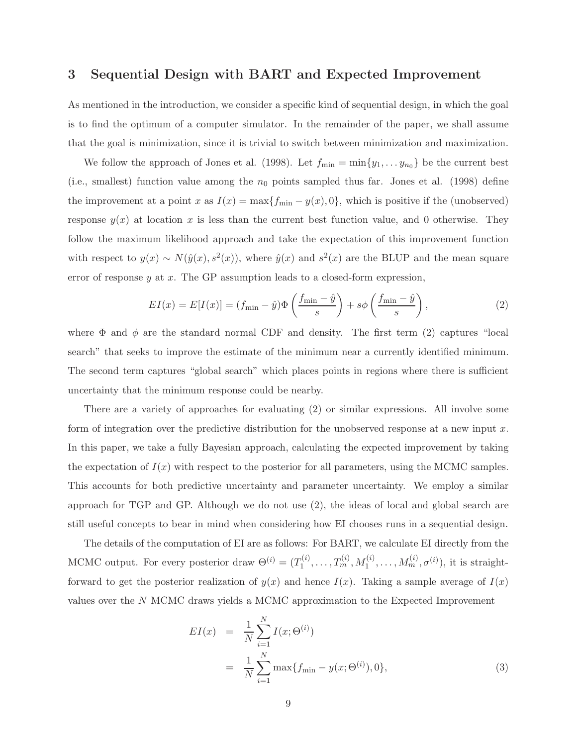## 3 Sequential Design with BART and Expected Improvement

As mentioned in the introduction, we consider a specific kind of sequential design, in which the goal is to find the optimum of a computer simulator. In the remainder of the paper, we shall assume that the goal is minimization, since it is trivial to switch between minimization and maximization.

We follow the approach of Jones et al. (1998). Let  $f_{\min} = \min\{y_1, \ldots, y_{n_0}\}$  be the current best (i.e., smallest) function value among the  $n_0$  points sampled thus far. Jones et al. (1998) define the improvement at a point x as  $I(x) = \max\{f_{\min} - y(x), 0\}$ , which is positive if the (unobserved) response  $y(x)$  at location x is less than the current best function value, and 0 otherwise. They follow the maximum likelihood approach and take the expectation of this improvement function with respect to  $y(x) \sim N(\hat{y}(x), s^2(x))$ , where  $\hat{y}(x)$  and  $s^2(x)$  are the BLUP and the mean square error of response  $y$  at  $x$ . The GP assumption leads to a closed-form expression,

$$
EI(x) = E[I(x)] = (f_{\min} - \hat{y})\Phi\left(\frac{f_{\min} - \hat{y}}{s}\right) + s\phi\left(\frac{f_{\min} - \hat{y}}{s}\right),\tag{2}
$$

where  $\Phi$  and  $\phi$  are the standard normal CDF and density. The first term (2) captures "local search" that seeks to improve the estimate of the minimum near a currently identified minimum. The second term captures "global search" which places points in regions where there is sufficient uncertainty that the minimum response could be nearby.

There are a variety of approaches for evaluating (2) or similar expressions. All involve some form of integration over the predictive distribution for the unobserved response at a new input  $x$ . In this paper, we take a fully Bayesian approach, calculating the expected improvement by taking the expectation of  $I(x)$  with respect to the posterior for all parameters, using the MCMC samples. This accounts for both predictive uncertainty and parameter uncertainty. We employ a similar approach for TGP and GP. Although we do not use (2), the ideas of local and global search are still useful concepts to bear in mind when considering how EI chooses runs in a sequential design.

The details of the computation of EI are as follows: For BART, we calculate EI directly from the MCMC output. For every posterior draw  $\Theta^{(i)} = (T_1^{(i)})$  $T_1^{(i)}, \ldots, T_m^{(i)}, M_1^{(i)}, \ldots, M_m^{(i)}, \sigma^{(i)}),$  it is straightforward to get the posterior realization of  $y(x)$  and hence  $I(x)$ . Taking a sample average of  $I(x)$ values over the N MCMC draws yields a MCMC approximation to the Expected Improvement

$$
EI(x) = \frac{1}{N} \sum_{i=1}^{N} I(x; \Theta^{(i)})
$$
  
= 
$$
\frac{1}{N} \sum_{i=1}^{N} \max \{ f_{\min} - y(x; \Theta^{(i)}), 0 \},
$$
 (3)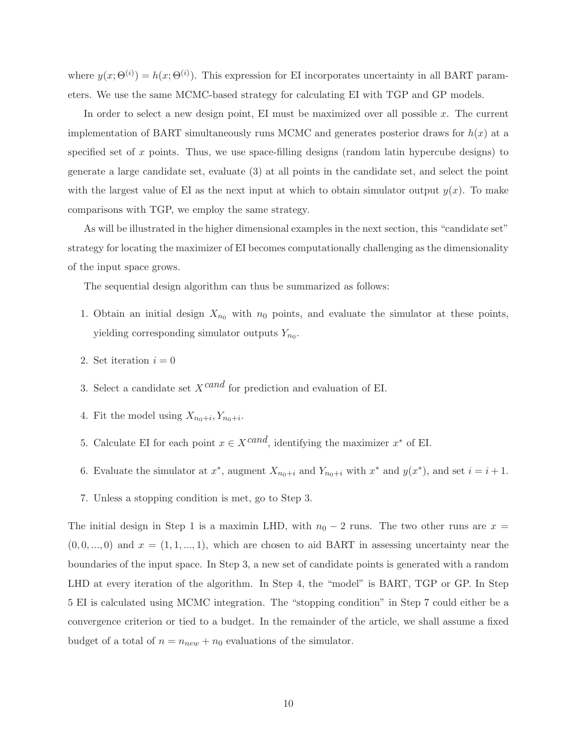where  $y(x; \Theta^{(i)}) = h(x; \Theta^{(i)})$ . This expression for EI incorporates uncertainty in all BART parameters. We use the same MCMC-based strategy for calculating EI with TGP and GP models.

In order to select a new design point, EI must be maximized over all possible  $x$ . The current implementation of BART simultaneously runs MCMC and generates posterior draws for  $h(x)$  at a specified set of x points. Thus, we use space-filling designs (random latin hypercube designs) to generate a large candidate set, evaluate (3) at all points in the candidate set, and select the point with the largest value of EI as the next input at which to obtain simulator output  $y(x)$ . To make comparisons with TGP, we employ the same strategy.

As will be illustrated in the higher dimensional examples in the next section, this "candidate set" strategy for locating the maximizer of EI becomes computationally challenging as the dimensionality of the input space grows.

The sequential design algorithm can thus be summarized as follows:

- 1. Obtain an initial design  $X_{n_0}$  with  $n_0$  points, and evaluate the simulator at these points, yielding corresponding simulator outputs  $Y_{n_0}$ .
- 2. Set iteration  $i = 0$
- 3. Select a candidate set X*cand* for prediction and evaluation of EI.
- 4. Fit the model using  $X_{n_0+i}, Y_{n_0+i}$ .
- 5. Calculate EI for each point  $x \in X^{cand}$ , identifying the maximizer  $x^*$  of EI.
- 6. Evaluate the simulator at  $x^*$ , augment  $X_{n_0+i}$  and  $Y_{n_0+i}$  with  $x^*$  and  $y(x^*)$ , and set  $i = i + 1$ .
- 7. Unless a stopping condition is met, go to Step 3.

The initial design in Step 1 is a maximin LHD, with  $n_0 - 2$  runs. The two other runs are  $x =$  $(0, 0, \ldots, 0)$  and  $x = (1, 1, \ldots, 1)$ , which are chosen to aid BART in assessing uncertainty near the boundaries of the input space. In Step 3, a new set of candidate points is generated with a random LHD at every iteration of the algorithm. In Step 4, the "model" is BART, TGP or GP. In Step 5 EI is calculated using MCMC integration. The "stopping condition" in Step 7 could either be a convergence criterion or tied to a budget. In the remainder of the article, we shall assume a fixed budget of a total of  $n = n_{new} + n_0$  evaluations of the simulator.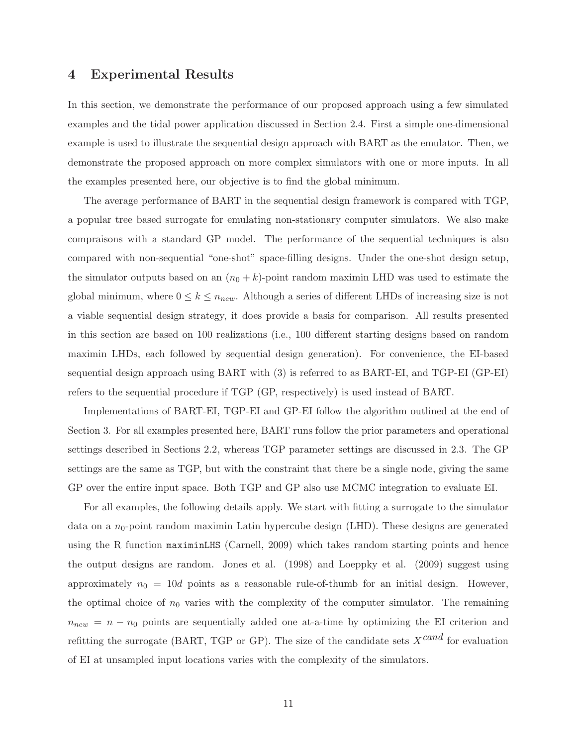## 4 Experimental Results

In this section, we demonstrate the performance of our proposed approach using a few simulated examples and the tidal power application discussed in Section 2.4. First a simple one-dimensional example is used to illustrate the sequential design approach with BART as the emulator. Then, we demonstrate the proposed approach on more complex simulators with one or more inputs. In all the examples presented here, our objective is to find the global minimum.

The average performance of BART in the sequential design framework is compared with TGP, a popular tree based surrogate for emulating non-stationary computer simulators. We also make compraisons with a standard GP model. The performance of the sequential techniques is also compared with non-sequential "one-shot" space-filling designs. Under the one-shot design setup, the simulator outputs based on an  $(n_0 + k)$ -point random maximin LHD was used to estimate the global minimum, where  $0 \leq k \leq n_{new}$ . Although a series of different LHDs of increasing size is not a viable sequential design strategy, it does provide a basis for comparison. All results presented in this section are based on 100 realizations (i.e., 100 different starting designs based on random maximin LHDs, each followed by sequential design generation). For convenience, the EI-based sequential design approach using BART with (3) is referred to as BART-EI, and TGP-EI (GP-EI) refers to the sequential procedure if TGP (GP, respectively) is used instead of BART.

Implementations of BART-EI, TGP-EI and GP-EI follow the algorithm outlined at the end of Section 3. For all examples presented here, BART runs follow the prior parameters and operational settings described in Sections 2.2, whereas TGP parameter settings are discussed in 2.3. The GP settings are the same as TGP, but with the constraint that there be a single node, giving the same GP over the entire input space. Both TGP and GP also use MCMC integration to evaluate EI.

For all examples, the following details apply. We start with fitting a surrogate to the simulator data on a  $n_0$ -point random maximin Latin hypercube design (LHD). These designs are generated using the R function maximinLHS (Carnell, 2009) which takes random starting points and hence the output designs are random. Jones et al. (1998) and Loeppky et al. (2009) suggest using approximately  $n_0 = 10d$  points as a reasonable rule-of-thumb for an initial design. However, the optimal choice of  $n_0$  varies with the complexity of the computer simulator. The remaining  $n_{new} = n - n_0$  points are sequentially added one at-a-time by optimizing the EI criterion and refitting the surrogate (BART, TGP or GP). The size of the candidate sets X*cand* for evaluation of EI at unsampled input locations varies with the complexity of the simulators.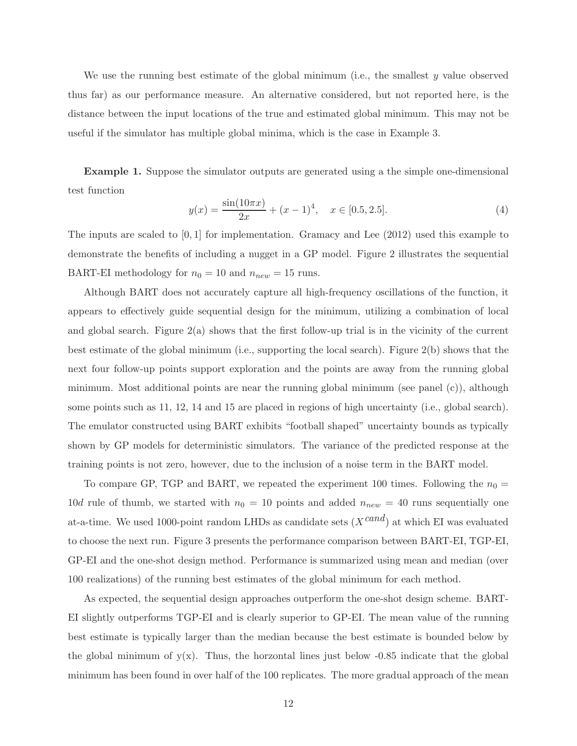We use the running best estimate of the global minimum (i.e., the smallest  $y$  value observed thus far) as our performance measure. An alternative considered, but not reported here, is the distance between the input locations of the true and estimated global minimum. This may not be useful if the simulator has multiple global minima, which is the case in Example 3.

Example 1. Suppose the simulator outputs are generated using a the simple one-dimensional test function

$$
y(x) = \frac{\sin(10\pi x)}{2x} + (x - 1)^4, \quad x \in [0.5, 2.5].
$$
 (4)

The inputs are scaled to  $[0,1]$  for implementation. Gramacy and Lee  $(2012)$  used this example to demonstrate the benefits of including a nugget in a GP model. Figure 2 illustrates the sequential BART-EI methodology for  $n_0 = 10$  and  $n_{new} = 15$  runs.

Although BART does not accurately capture all high-frequency oscillations of the function, it appears to effectively guide sequential design for the minimum, utilizing a combination of local and global search. Figure 2(a) shows that the first follow-up trial is in the vicinity of the current best estimate of the global minimum (i.e., supporting the local search). Figure 2(b) shows that the next four follow-up points support exploration and the points are away from the running global minimum. Most additional points are near the running global minimum (see panel (c)), although some points such as 11, 12, 14 and 15 are placed in regions of high uncertainty (i.e., global search). The emulator constructed using BART exhibits "football shaped" uncertainty bounds as typically shown by GP models for deterministic simulators. The variance of the predicted response at the training points is not zero, however, due to the inclusion of a noise term in the BART model.

To compare GP, TGP and BART, we repeated the experiment 100 times. Following the  $n_0 =$ 10d rule of thumb, we started with  $n_0 = 10$  points and added  $n_{new} = 40$  runs sequentially one at-a-time. We used 1000-point random LHDs as candidate sets (X*cand*) at which EI was evaluated to choose the next run. Figure 3 presents the performance comparison between BART-EI, TGP-EI, GP-EI and the one-shot design method. Performance is summarized using mean and median (over 100 realizations) of the running best estimates of the global minimum for each method.

As expected, the sequential design approaches outperform the one-shot design scheme. BART-EI slightly outperforms TGP-EI and is clearly superior to GP-EI. The mean value of the running best estimate is typically larger than the median because the best estimate is bounded below by the global minimum of  $y(x)$ . Thus, the horzontal lines just below -0.85 indicate that the global minimum has been found in over half of the 100 replicates. The more gradual approach of the mean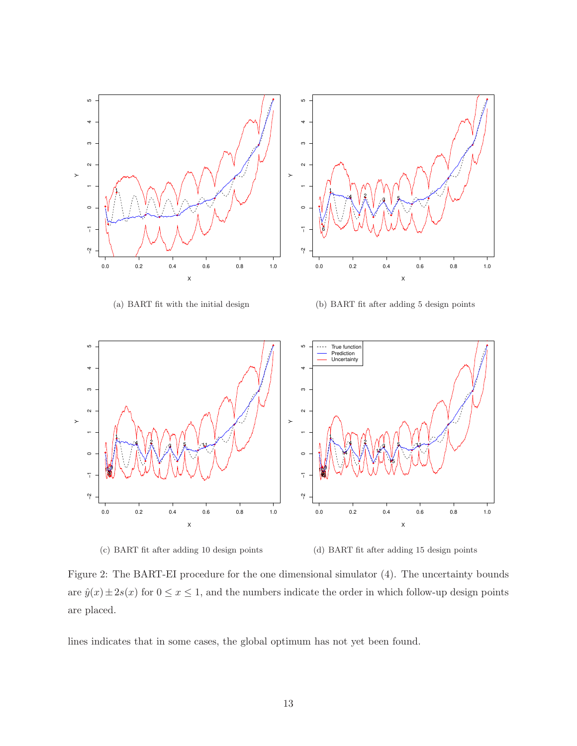

(c) BART fit after adding 10 design points

(d) BART fit after adding 15 design points

Figure 2: The BART-EI procedure for the one dimensional simulator (4). The uncertainty bounds are  $\hat{y}(x) \pm 2s(x)$  for  $0 \le x \le 1$ , and the numbers indicate the order in which follow-up design points are placed.

lines indicates that in some cases, the global optimum has not yet been found.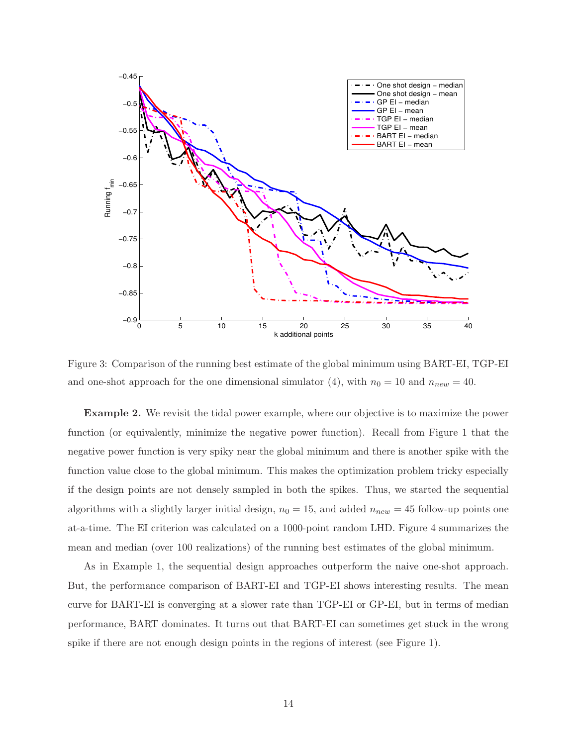

Figure 3: Comparison of the running best estimate of the global minimum using BART-EI, TGP-EI and one-shot approach for the one dimensional simulator (4), with  $n_0 = 10$  and  $n_{new} = 40$ .

Example 2. We revisit the tidal power example, where our objective is to maximize the power function (or equivalently, minimize the negative power function). Recall from Figure 1 that the negative power function is very spiky near the global minimum and there is another spike with the function value close to the global minimum. This makes the optimization problem tricky especially if the design points are not densely sampled in both the spikes. Thus, we started the sequential algorithms with a slightly larger initial design,  $n_0 = 15$ , and added  $n_{new} = 45$  follow-up points one at-a-time. The EI criterion was calculated on a 1000-point random LHD. Figure 4 summarizes the mean and median (over 100 realizations) of the running best estimates of the global minimum.

As in Example 1, the sequential design approaches outperform the naive one-shot approach. But, the performance comparison of BART-EI and TGP-EI shows interesting results. The mean curve for BART-EI is converging at a slower rate than TGP-EI or GP-EI, but in terms of median performance, BART dominates. It turns out that BART-EI can sometimes get stuck in the wrong spike if there are not enough design points in the regions of interest (see Figure 1).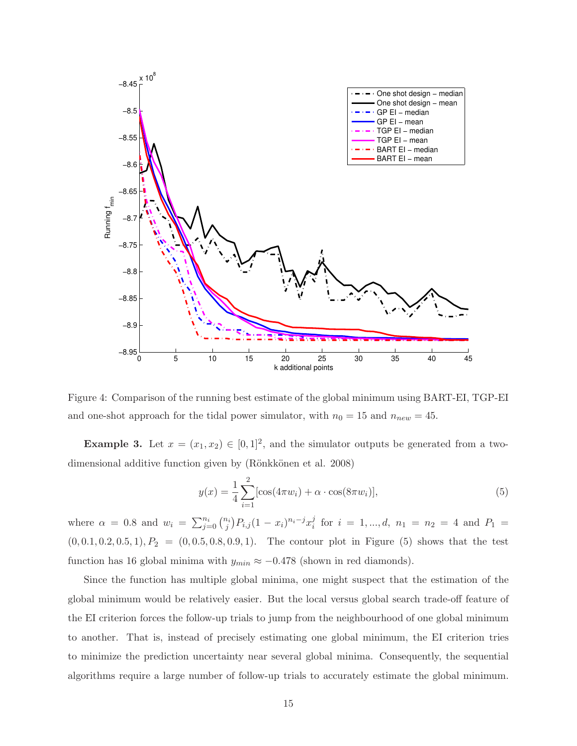

Figure 4: Comparison of the running best estimate of the global minimum using BART-EI, TGP-EI and one-shot approach for the tidal power simulator, with  $n_0 = 15$  and  $n_{new} = 45$ .

**Example 3.** Let  $x = (x_1, x_2) \in [0, 1]^2$ , and the simulator outputs be generated from a twodimensional additive function given by (Rönkkönen et al. 2008)

$$
y(x) = \frac{1}{4} \sum_{i=1}^{2} [\cos(4\pi w_i) + \alpha \cdot \cos(8\pi w_i)],
$$
\n(5)

where  $\alpha = 0.8$  and  $w_i = \sum_{j=0}^{n_i} {n_i \choose j}$  $\binom{n_i}{j} P_{i,j} (1-x_i)^{n_i-j} x_i^j$  $i_i^j$  for  $i = 1, ..., d, n_1 = n_2 = 4$  and  $P_1 =$  $(0, 0.1, 0.2, 0.5, 1), P_2 = (0, 0.5, 0.8, 0.9, 1).$  The contour plot in Figure (5) shows that the test function has 16 global minima with  $y_{min} \approx -0.478$  (shown in red diamonds).

Since the function has multiple global minima, one might suspect that the estimation of the global minimum would be relatively easier. But the local versus global search trade-off feature of the EI criterion forces the follow-up trials to jump from the neighbourhood of one global minimum to another. That is, instead of precisely estimating one global minimum, the EI criterion tries to minimize the prediction uncertainty near several global minima. Consequently, the sequential algorithms require a large number of follow-up trials to accurately estimate the global minimum.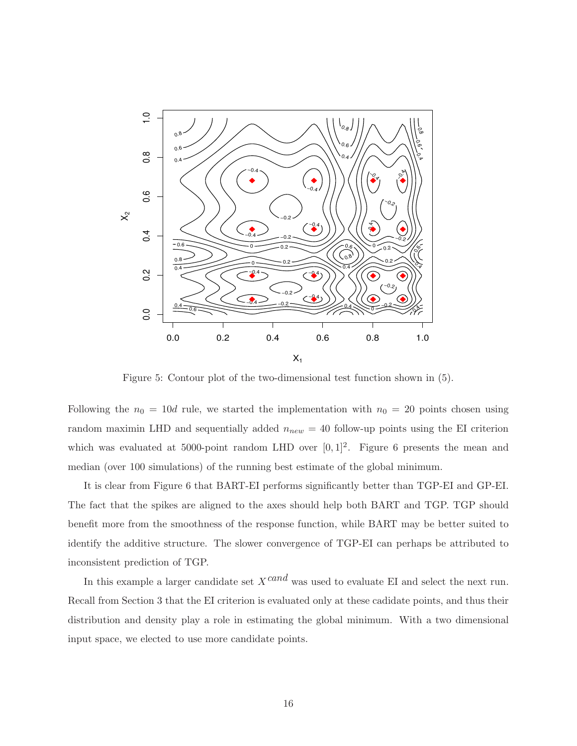

Figure 5: Contour plot of the two-dimensional test function shown in (5).

Following the  $n_0 = 10d$  rule, we started the implementation with  $n_0 = 20$  points chosen using random maximin LHD and sequentially added  $n_{new} = 40$  follow-up points using the EI criterion which was evaluated at 5000-point random LHD over  $[0,1]^2$ . Figure 6 presents the mean and median (over 100 simulations) of the running best estimate of the global minimum.

It is clear from Figure 6 that BART-EI performs significantly better than TGP-EI and GP-EI. The fact that the spikes are aligned to the axes should help both BART and TGP. TGP should benefit more from the smoothness of the response function, while BART may be better suited to identify the additive structure. The slower convergence of TGP-EI can perhaps be attributed to inconsistent prediction of TGP.

In this example a larger candidate set  $X^{cand}$  was used to evaluate EI and select the next run. Recall from Section 3 that the EI criterion is evaluated only at these cadidate points, and thus their distribution and density play a role in estimating the global minimum. With a two dimensional input space, we elected to use more candidate points.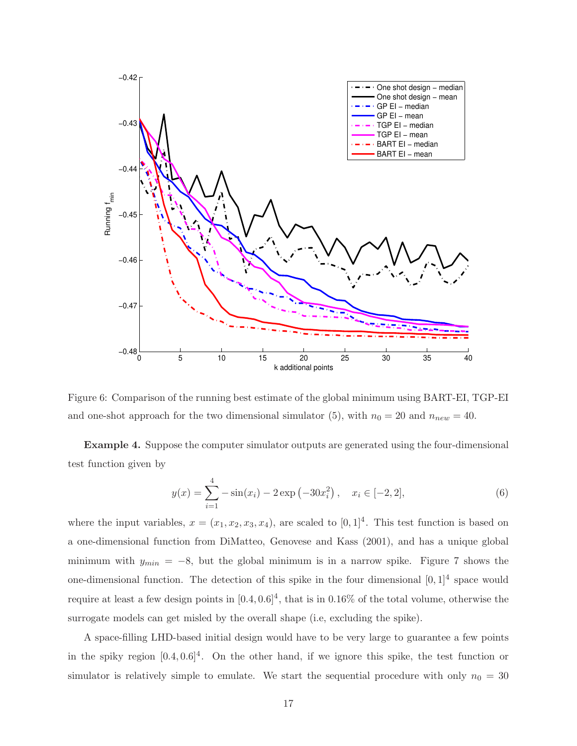

Figure 6: Comparison of the running best estimate of the global minimum using BART-EI, TGP-EI and one-shot approach for the two dimensional simulator (5), with  $n_0 = 20$  and  $n_{new} = 40$ .

Example 4. Suppose the computer simulator outputs are generated using the four-dimensional test function given by

$$
y(x) = \sum_{i=1}^{4} -\sin(x_i) - 2\exp(-30x_i^2), \quad x_i \in [-2, 2],
$$
 (6)

where the input variables,  $x = (x_1, x_2, x_3, x_4)$ , are scaled to  $[0, 1]^4$ . This test function is based on a one-dimensional function from DiMatteo, Genovese and Kass (2001), and has a unique global minimum with  $y_{min} = -8$ , but the global minimum is in a narrow spike. Figure 7 shows the one-dimensional function. The detection of this spike in the four dimensional  $[0,1]^4$  space would require at least a few design points in  $[0.4, 0.6]^4$ , that is in 0.16% of the total volume, otherwise the surrogate models can get misled by the overall shape (i.e, excluding the spike).

A space-filling LHD-based initial design would have to be very large to guarantee a few points in the spiky region  $[0.4, 0.6]^4$ . On the other hand, if we ignore this spike, the test function or simulator is relatively simple to emulate. We start the sequential procedure with only  $n_0 = 30$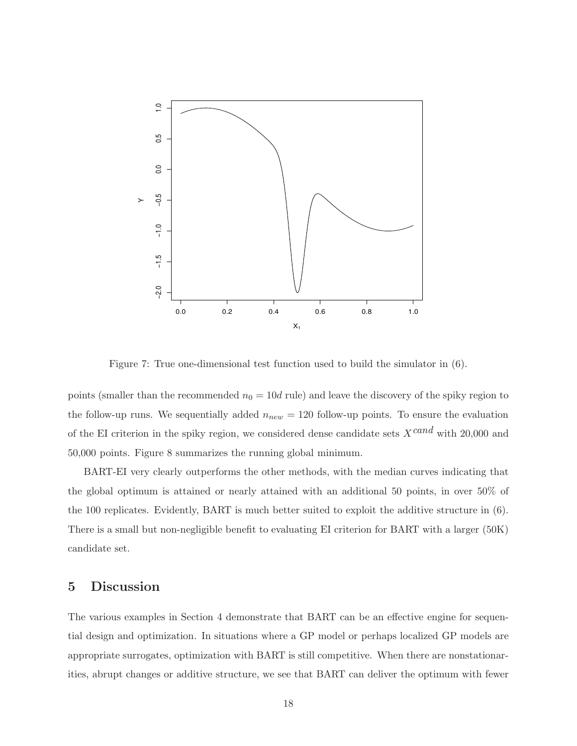

Figure 7: True one-dimensional test function used to build the simulator in (6).

points (smaller than the recommended  $n_0 = 10d$  rule) and leave the discovery of the spiky region to the follow-up runs. We sequentially added  $n_{new} = 120$  follow-up points. To ensure the evaluation of the EI criterion in the spiky region, we considered dense candidate sets X*cand* with 20,000 and 50,000 points. Figure 8 summarizes the running global minimum.

BART-EI very clearly outperforms the other methods, with the median curves indicating that the global optimum is attained or nearly attained with an additional 50 points, in over 50% of the 100 replicates. Evidently, BART is much better suited to exploit the additive structure in (6). There is a small but non-negligible benefit to evaluating EI criterion for BART with a larger (50K) candidate set.

# 5 Discussion

The various examples in Section 4 demonstrate that BART can be an effective engine for sequential design and optimization. In situations where a GP model or perhaps localized GP models are appropriate surrogates, optimization with BART is still competitive. When there are nonstationarities, abrupt changes or additive structure, we see that BART can deliver the optimum with fewer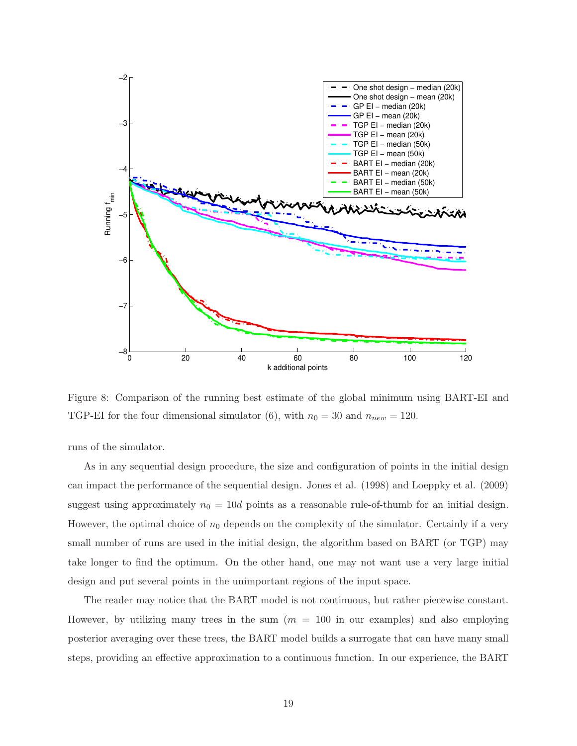

Figure 8: Comparison of the running best estimate of the global minimum using BART-EI and TGP-EI for the four dimensional simulator (6), with  $n_0 = 30$  and  $n_{new} = 120$ .

runs of the simulator.

As in any sequential design procedure, the size and configuration of points in the initial design can impact the performance of the sequential design. Jones et al. (1998) and Loeppky et al. (2009) suggest using approximately  $n_0 = 10d$  points as a reasonable rule-of-thumb for an initial design. However, the optimal choice of  $n_0$  depends on the complexity of the simulator. Certainly if a very small number of runs are used in the initial design, the algorithm based on BART (or TGP) may take longer to find the optimum. On the other hand, one may not want use a very large initial design and put several points in the unimportant regions of the input space.

The reader may notice that the BART model is not continuous, but rather piecewise constant. However, by utilizing many trees in the sum  $(m = 100$  in our examples) and also employing posterior averaging over these trees, the BART model builds a surrogate that can have many small steps, providing an effective approximation to a continuous function. In our experience, the BART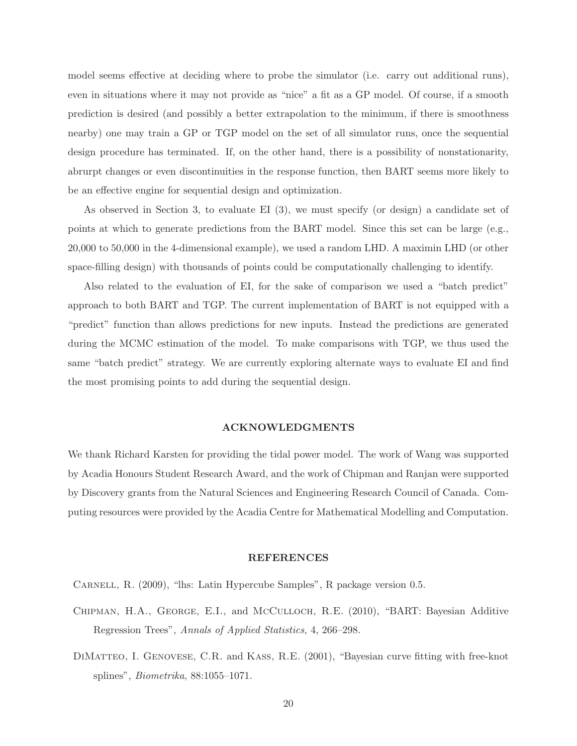model seems effective at deciding where to probe the simulator (i.e. carry out additional runs), even in situations where it may not provide as "nice" a fit as a GP model. Of course, if a smooth prediction is desired (and possibly a better extrapolation to the minimum, if there is smoothness nearby) one may train a GP or TGP model on the set of all simulator runs, once the sequential design procedure has terminated. If, on the other hand, there is a possibility of nonstationarity, abrurpt changes or even discontinuities in the response function, then BART seems more likely to be an effective engine for sequential design and optimization.

As observed in Section 3, to evaluate EI (3), we must specify (or design) a candidate set of points at which to generate predictions from the BART model. Since this set can be large (e.g., 20,000 to 50,000 in the 4-dimensional example), we used a random LHD. A maximin LHD (or other space-filling design) with thousands of points could be computationally challenging to identify.

Also related to the evaluation of EI, for the sake of comparison we used a "batch predict" approach to both BART and TGP. The current implementation of BART is not equipped with a "predict" function than allows predictions for new inputs. Instead the predictions are generated during the MCMC estimation of the model. To make comparisons with TGP, we thus used the same "batch predict" strategy. We are currently exploring alternate ways to evaluate EI and find the most promising points to add during the sequential design.

#### ACKNOWLEDGMENTS

We thank Richard Karsten for providing the tidal power model. The work of Wang was supported by Acadia Honours Student Research Award, and the work of Chipman and Ranjan were supported by Discovery grants from the Natural Sciences and Engineering Research Council of Canada. Computing resources were provided by the Acadia Centre for Mathematical Modelling and Computation.

#### REFERENCES

- Carnell, R. (2009), "lhs: Latin Hypercube Samples", R package version 0.5.
- Chipman, H.A., George, E.I., and McCulloch, R.E. (2010), "BART: Bayesian Additive Regression Trees", *Annals of Applied Statistics*, 4, 266–298.
- DIMATTEO, I. GENOVESE, C.R. and KASS, R.E. (2001), "Bayesian curve fitting with free-knot splines", *Biometrika*, 88:1055–1071.